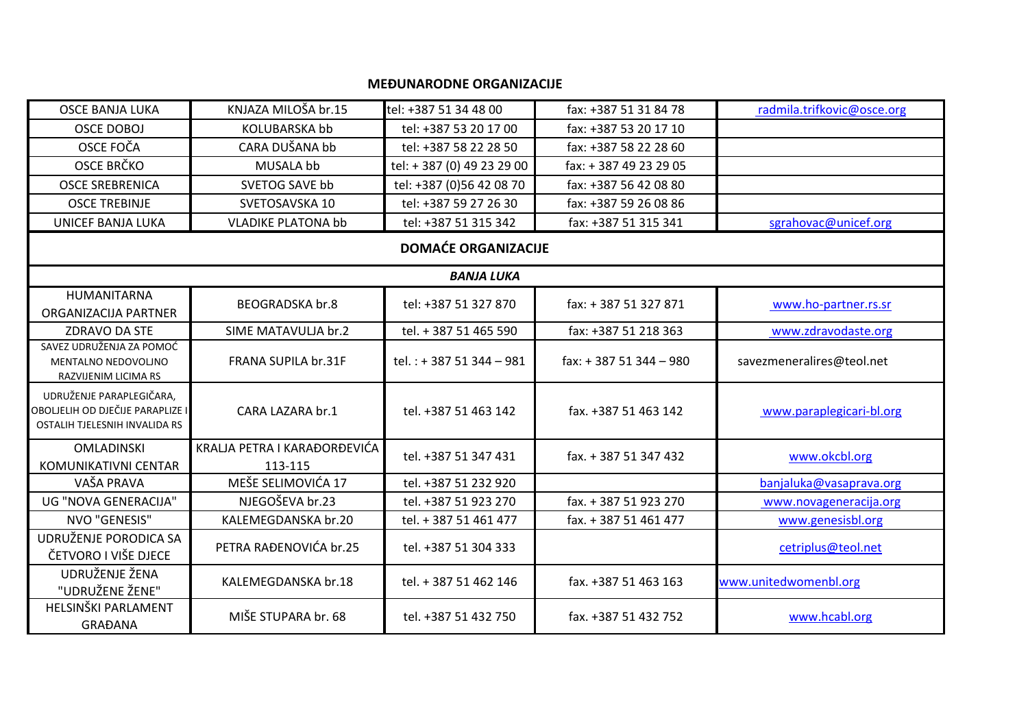## **MEĐUNARODNE ORGANIZACIJE**

| <b>OSCE BANJA LUKA</b>                                                                        | KNJAZA MILOŠA br.15                     | tel: +387 51 34 48 00      | fax: +387 51 31 84 78  | radmila.trifkovic@osce.org |
|-----------------------------------------------------------------------------------------------|-----------------------------------------|----------------------------|------------------------|----------------------------|
| <b>OSCE DOBOJ</b>                                                                             | <b>KOLUBARSKA bb</b>                    | tel: +387 53 20 17 00      | fax: +387 53 20 17 10  |                            |
| OSCE FOČA                                                                                     | CARA DUŠANA bb                          | tel: +387 58 22 28 50      | fax: +387 58 22 28 60  |                            |
| OSCE BRČKO                                                                                    | MUSALA bb                               | tel: +387 (0) 49 23 29 00  | fax: +387 49 23 29 05  |                            |
| <b>OSCE SREBRENICA</b>                                                                        | SVETOG SAVE bb                          | tel: +387 (0)56 42 08 70   | fax: +387 56 42 08 80  |                            |
| <b>OSCE TREBINJE</b>                                                                          | SVETOSAVSKA 10                          | tel: +387 59 27 26 30      | fax: +387 59 26 08 86  |                            |
| <b>UNICEF BANJA LUKA</b>                                                                      | <b>VLADIKE PLATONA bb</b>               | tel: +387 51 315 342       | fax: +387 51 315 341   | sgrahovac@unicef.org       |
|                                                                                               |                                         | <b>DOMAĆE ORGANIZACIJE</b> |                        |                            |
|                                                                                               |                                         | <b>BANJA LUKA</b>          |                        |                            |
| HUMANITARNA                                                                                   | <b>BEOGRADSKA br.8</b>                  | tel: +387 51 327 870       | fax: +387 51 327 871   |                            |
| ORGANIZACIJA PARTNER                                                                          |                                         |                            |                        | www.ho-partner.rs.sr       |
| ZDRAVO DA STE                                                                                 | SIME MATAVULJA br.2                     | tel. + 387 51 465 590      | fax: +387 51 218 363   | www.zdravodaste.org        |
| SAVEZ UDRUŽENJA ZA POMOĆ<br>MENTALNO NEDOVOLJNO<br>RAZVIJENIM LICIMA RS                       | FRANA SUPILA br.31F                     | tel.: +387 51 344 - 981    | fax: +387 51 344 - 980 | savezmeneralires@teol.net  |
| UDRUŽENJE PARAPLEGIČARA,<br>OBOLJELIH OD DJEČIJE PARAPLIZE I<br>OSTALIH TJELESNIH INVALIDA RS | CARA LAZARA br.1                        | tel. +387 51 463 142       | fax. +387 51 463 142   | www.paraplegicari-bl.org   |
| <b>OMLADINSKI</b><br>KOMUNIKATIVNI CENTAR                                                     | KRALJA PETRA I KARAĐORĐEVIĆA<br>113-115 | tel. +387 51 347 431       | fax. + 387 51 347 432  | www.okcbl.org              |
| VAŠA PRAVA                                                                                    | MEŠE SELIMOVIĆA 17                      | tel. +387 51 232 920       |                        | banjaluka@vasaprava.org    |
| UG "NOVA GENERACIJA"                                                                          | NJEGOŠEVA br.23                         | tel. +387 51 923 270       | fax. + 387 51 923 270  | www.novageneracija.org     |
| NVO "GENESIS"                                                                                 | KALEMEGDANSKA br.20                     | tel. + 387 51 461 477      | fax. + 387 51 461 477  | www.genesisbl.org          |
| UDRUŽENJE PORODICA SA<br>ČETVORO I VIŠE DJECE                                                 | PETRA RAĐENOVIĆA br.25                  | tel. +387 51 304 333       |                        | cetriplus@teol.net         |
| UDRUŽENJE ŽENA<br>"UDRUŽENE ŽENE"                                                             | KALEMEGDANSKA br.18                     | tel. + 387 51 462 146      | fax. +387 51 463 163   | www.unitedwomenbl.org      |
| HELSINŠKI PARLAMENT<br><b>GRAĐANA</b>                                                         | MIŠE STUPARA br. 68                     | tel. +387 51 432 750       | fax. +387 51 432 752   | www.hcabl.org              |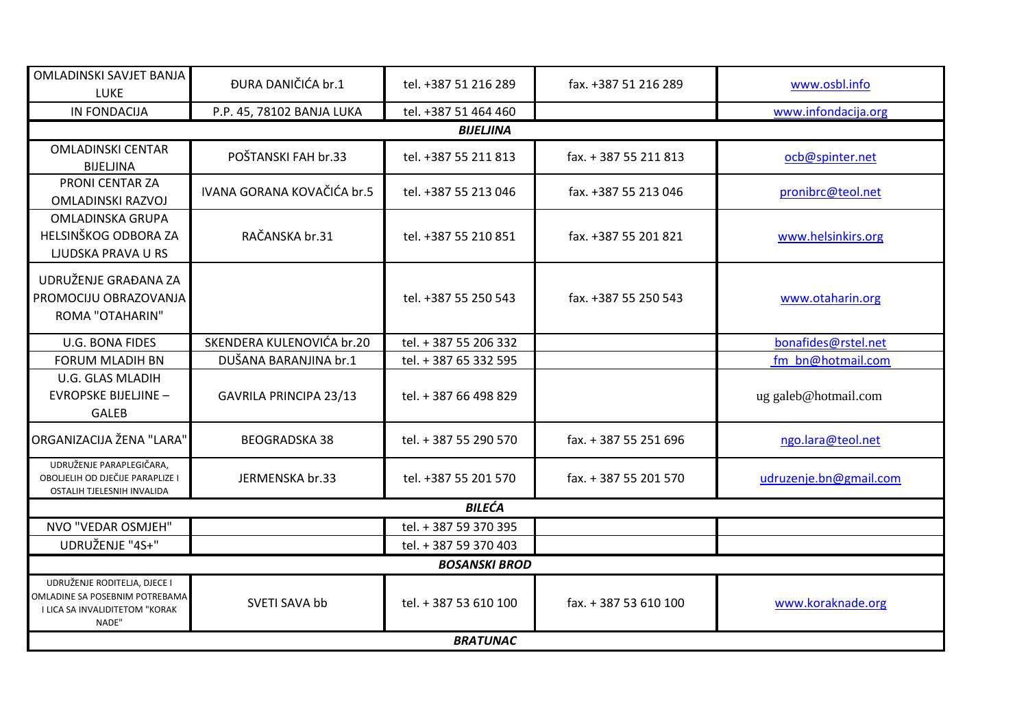| OMLADINSKI SAVJET BANJA<br><b>LUKE</b>                                                                    | ĐURA DANIČIĆA br.1         | tel. +387 51 216 289  | fax. +387 51 216 289  | www.osbl.info          |
|-----------------------------------------------------------------------------------------------------------|----------------------------|-----------------------|-----------------------|------------------------|
| <b>IN FONDACIJA</b>                                                                                       | P.P. 45, 78102 BANJA LUKA  | tel. +387 51 464 460  |                       | www.infondacija.org    |
|                                                                                                           |                            | <b>BIJELJINA</b>      |                       |                        |
| <b>OMLADINSKI CENTAR</b><br><b>BIJELJINA</b>                                                              | POŠTANSKI FAH br.33        | tel. +387 55 211 813  | fax. + 387 55 211 813 | ocb@spinter.net        |
| PRONI CENTAR ZA<br><b>OMLADINSKI RAZVOJ</b>                                                               | IVANA GORANA KOVAČIĆA br.5 | tel. +387 55 213 046  | fax. +387 55 213 046  | pronibrc@teol.net      |
| <b>OMLADINSKA GRUPA</b><br>HELSINŠKOG ODBORA ZA<br><b>LJUDSKA PRAVA U RS</b>                              | RAČANSKA br.31             | tel. +387 55 210 851  | fax. +387 55 201 821  | www.helsinkirs.org     |
| UDRUŽENJE GRAĐANA ZA<br>PROMOCIJU OBRAZOVANJA<br><b>ROMA "OTAHARIN"</b>                                   |                            | tel. +387 55 250 543  | fax. +387 55 250 543  | www.otaharin.org       |
| <b>U.G. BONA FIDES</b>                                                                                    | SKENDERA KULENOVIĆA br.20  | tel. + 387 55 206 332 |                       | bonafides@rstel.net    |
| <b>FORUM MLADIH BN</b>                                                                                    | DUŠANA BARANJINA br.1      | tel. + 387 65 332 595 |                       | fm bn@hotmail.com      |
| <b>U.G. GLAS MLADIH</b><br><b>EVROPSKE BIJELJINE -</b><br><b>GALEB</b>                                    | GAVRILA PRINCIPA 23/13     | tel. + 387 66 498 829 |                       | ug galeb@hotmail.com   |
| ORGANIZACIJA ŽENA "LARA"                                                                                  | <b>BEOGRADSKA 38</b>       | tel. + 387 55 290 570 | fax. + 387 55 251 696 | ngo.lara@teol.net      |
| UDRUŽENJE PARAPLEGIČARA,<br>OBOLJELIH OD DJEČIJE PARAPLIZE I<br>OSTALIH TJELESNIH INVALIDA                | JERMENSKA br.33            | tel. +387 55 201 570  | fax. + 387 55 201 570 | udruzenje.bn@gmail.com |
|                                                                                                           |                            | <b>BILEĆA</b>         |                       |                        |
| NVO "VEDAR OSMJEH"                                                                                        |                            | tel. + 387 59 370 395 |                       |                        |
| UDRUŽENJE "4S+"                                                                                           |                            | tel. + 387 59 370 403 |                       |                        |
|                                                                                                           |                            | <b>BOSANSKI BROD</b>  |                       |                        |
| UDRUŽENJE RODITELJA, DJECE I<br>OMLADINE SA POSEBNIM POTREBAMA<br>I LICA SA INVALIDITETOM "KORAK<br>NADE" | SVETI SAVA bb              | tel. + 387 53 610 100 | fax. + 387 53 610 100 | www.koraknade.org      |
|                                                                                                           |                            | <b>BRATUNAC</b>       |                       |                        |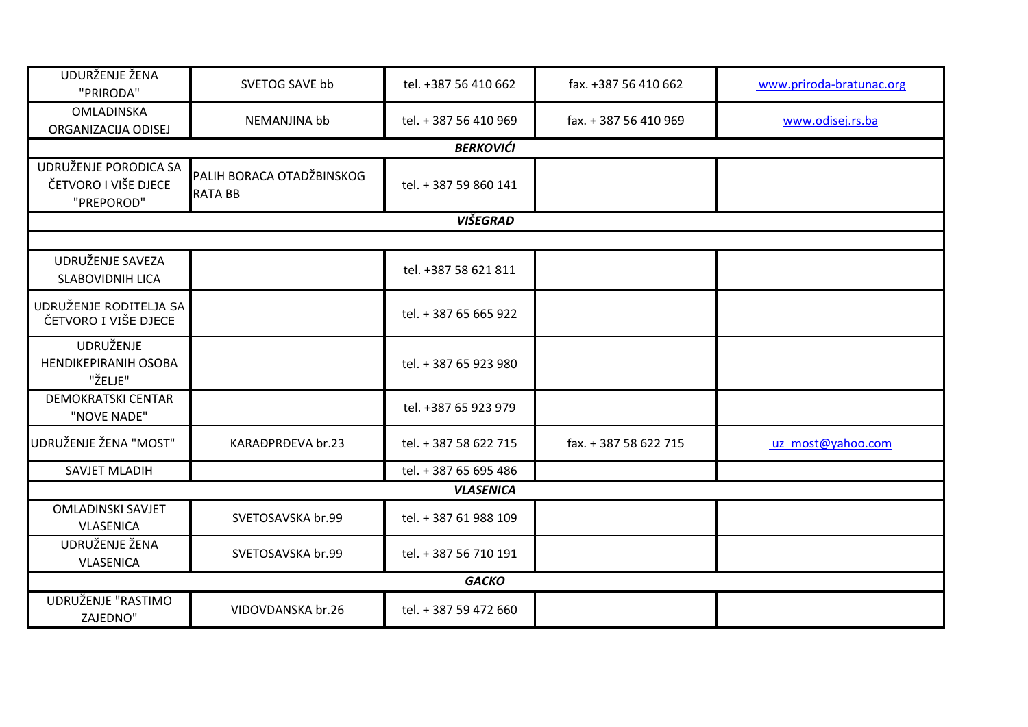| UDURŽENJE ŽENA<br>"PRIRODA"                                 | SVETOG SAVE bb                              | tel. +387 56 410 662  | fax. +387 56 410 662  | www.priroda-bratunac.org |
|-------------------------------------------------------------|---------------------------------------------|-----------------------|-----------------------|--------------------------|
| OMLADINSKA<br>ORGANIZACIJA ODISEJ                           | NEMANJINA bb                                | tel. + 387 56 410 969 | fax. + 387 56 410 969 | www.odisej.rs.ba         |
|                                                             |                                             | <b>BERKOVIĆI</b>      |                       |                          |
| UDRUŽENJE PORODICA SA<br>ČETVORO I VIŠE DJECE<br>"PREPOROD" | PALIH BORACA OTADŽBINSKOG<br><b>RATA BB</b> | tel. + 387 59 860 141 |                       |                          |
|                                                             |                                             | <b>VIŠEGRAD</b>       |                       |                          |
|                                                             |                                             |                       |                       |                          |
| UDRUŽENJE SAVEZA<br><b>SLABOVIDNIH LICA</b>                 |                                             | tel. +387 58 621 811  |                       |                          |
| UDRUŽENJE RODITELJA SA<br>ČETVORO I VIŠE DJECE              |                                             | tel. + 387 65 665 922 |                       |                          |
| UDRUŽENJE<br><b>HENDIKEPIRANIH OSOBA</b><br>"ŽELJE"         |                                             | tel. + 387 65 923 980 |                       |                          |
| <b>DEMOKRATSKI CENTAR</b><br>"NOVE NADE"                    |                                             | tel. +387 65 923 979  |                       |                          |
| UDRUŽENJE ŽENA "MOST"                                       | KARAĐPRĐEVA br.23                           | tel. + 387 58 622 715 | fax. + 387 58 622 715 | uz_most@yahoo.com        |
| SAVJET MLADIH                                               |                                             | tel. + 387 65 695 486 |                       |                          |
|                                                             |                                             | <b>VLASENICA</b>      |                       |                          |
| <b>OMLADINSKI SAVJET</b><br><b>VLASENICA</b>                | SVETOSAVSKA br.99                           | tel. + 387 61 988 109 |                       |                          |
| UDRUŽENJE ŽENA<br><b>VLASENICA</b>                          | SVETOSAVSKA br.99                           | tel. + 387 56 710 191 |                       |                          |
|                                                             |                                             | <b>GACKO</b>          |                       |                          |
| UDRUŽENJE "RASTIMO<br><b>ZAJEDNO"</b>                       | VIDOVDANSKA br.26                           | tel. + 387 59 472 660 |                       |                          |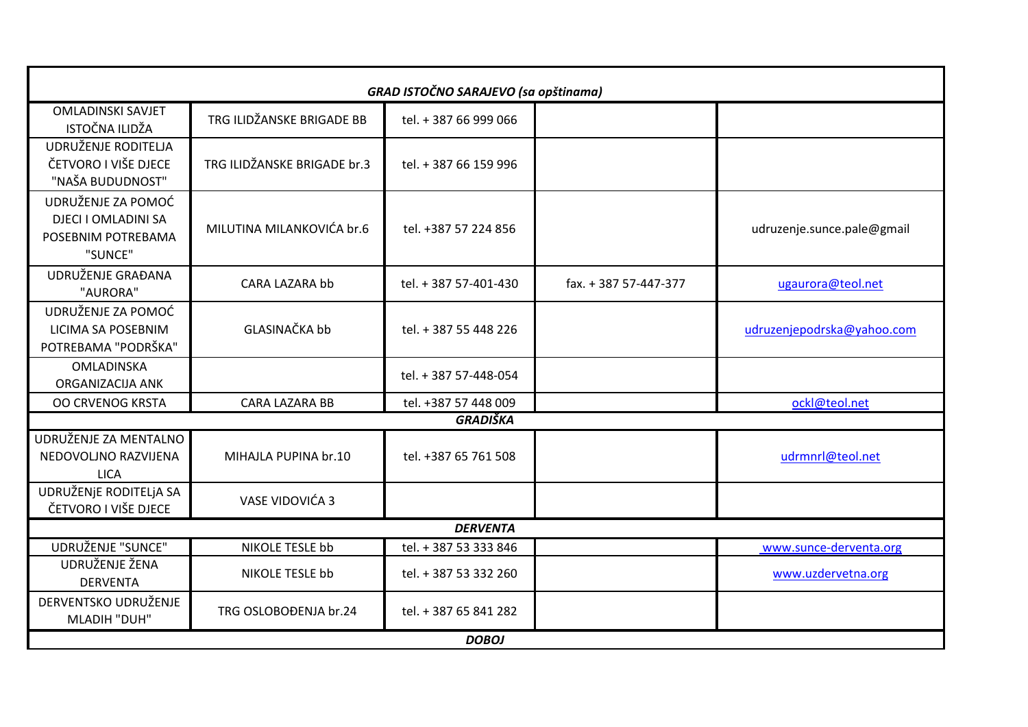|                                                                                   |                             | <b>GRAD ISTOČNO SARAJEVO (sa opštinama)</b> |                       |                            |
|-----------------------------------------------------------------------------------|-----------------------------|---------------------------------------------|-----------------------|----------------------------|
| <b>OMLADINSKI SAVJET</b><br>ISTOČNA ILIDŽA                                        | TRG ILIDŽANSKE BRIGADE BB   | tel. + 387 66 999 066                       |                       |                            |
| UDRUŽENJE RODITELJA<br>ČETVORO I VIŠE DJECE<br>"NAŠA BUDUDNOST"                   | TRG ILIDŽANSKE BRIGADE br.3 | tel. + 387 66 159 996                       |                       |                            |
| UDRUŽENJE ZA POMOĆ<br><b>DJECI I OMLADINI SA</b><br>POSEBNIM POTREBAMA<br>"SUNCE" | MILUTINA MILANKOVIĆA br.6   | tel. +387 57 224 856                        |                       | udruzenje.sunce.pale@gmail |
| UDRUŽENJE GRAĐANA<br>"AURORA"                                                     | CARA LAZARA bb              | tel. + 387 57-401-430                       | fax. + 387 57-447-377 | ugaurora@teol.net          |
| UDRUŽENJE ZA POMOĆ<br>LICIMA SA POSEBNIM<br>POTREBAMA "PODRŠKA"                   | <b>GLASINAČKA bb</b>        | tel. + 387 55 448 226                       |                       | udruzenjepodrska@yahoo.com |
| OMLADINSKA<br>ORGANIZACIJA ANK                                                    |                             | tel. + 387 57-448-054                       |                       |                            |
| <b>OO CRVENOG KRSTA</b>                                                           | <b>CARA LAZARA BB</b>       | tel. +387 57 448 009                        |                       | ockl@teol.net              |
|                                                                                   |                             | <b>GRADIŠKA</b>                             |                       |                            |
| UDRUŽENJE ZA MENTALNO<br>NEDOVOLJNO RAZVIJENA<br><b>LICA</b>                      | MIHAJLA PUPINA br.10        | tel. +387 65 761 508                        |                       | udrmnrl@teol.net           |
| UDRUŽENJE RODITELJA SA<br>ČETVORO I VIŠE DJECE                                    | VASE VIDOVIĆA 3             |                                             |                       |                            |
|                                                                                   |                             | <b>DERVENTA</b>                             |                       |                            |
| <b>UDRUŽENJE "SUNCE"</b>                                                          | <b>NIKOLE TESLE bb</b>      | tel. + 387 53 333 846                       |                       | www.sunce-derventa.org     |
| UDRUŽENJE ŽENA<br><b>DERVENTA</b>                                                 | NIKOLE TESLE bb             | tel. + 387 53 332 260                       |                       | www.uzdervetna.org         |
| DERVENTSKO UDRUŽENJE<br><b>MLADIH "DUH"</b>                                       | TRG OSLOBOĐENJA br.24       | tel. + 387 65 841 282                       |                       |                            |
|                                                                                   |                             | <b>DOBOJ</b>                                |                       |                            |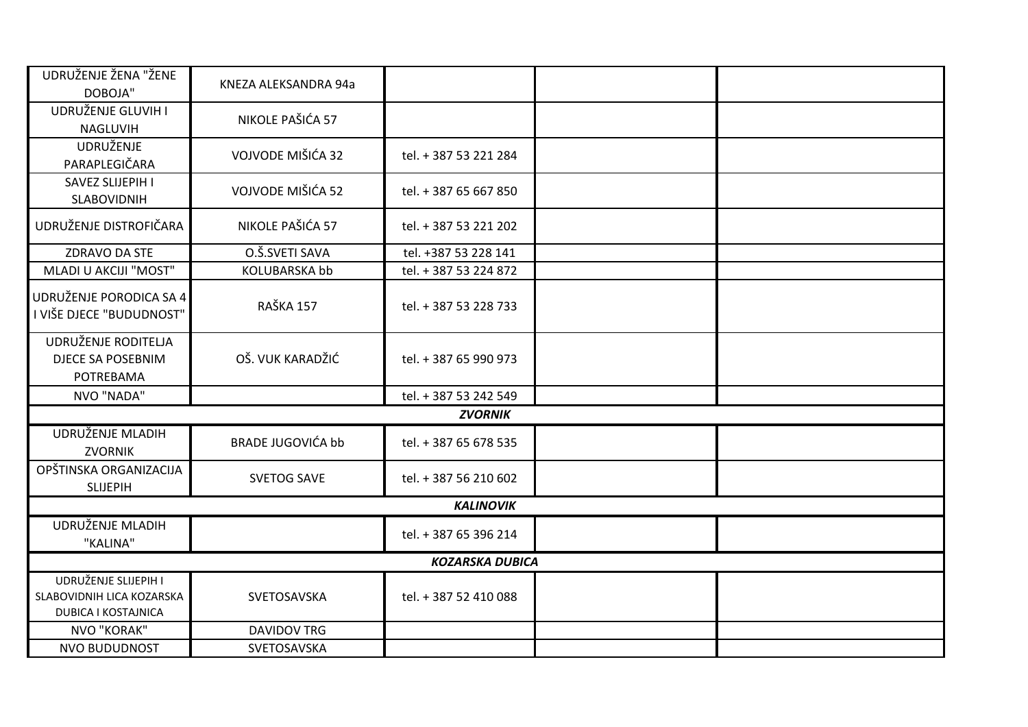| UDRUŽENJE ŽENA "ŽENE<br>DOBOJA"                                                 | KNEZA ALEKSANDRA 94a     |                        |  |
|---------------------------------------------------------------------------------|--------------------------|------------------------|--|
| UDRUŽENJE GLUVIH I<br>NAGLUVIH                                                  | NIKOLE PAŠIĆA 57         |                        |  |
| <b>UDRUŽENJE</b><br>PARAPLEGIČARA                                               | VOJVODE MIŠIĆA 32        | tel. + 387 53 221 284  |  |
| SAVEZ SLIJEPIH I<br>SLABOVIDNIH                                                 | VOJVODE MIŠIĆA 52        | tel. + 387 65 667 850  |  |
| UDRUŽENJE DISTROFIČARA                                                          | NIKOLE PAŠIĆA 57         | tel. + 387 53 221 202  |  |
| ZDRAVO DA STE                                                                   | O.Š.SVETI SAVA           | tel. +387 53 228 141   |  |
| <b>MLADI U AKCIJI "MOST"</b>                                                    | <b>KOLUBARSKA bb</b>     | tel. + 387 53 224 872  |  |
| UDRUŽENJE PORODICA SA 4<br>I VIŠE DJECE "BUDUDNOST"                             | RAŠKA 157                | tel. + 387 53 228 733  |  |
| UDRUŽENJE RODITELJA<br><b>DJECE SA POSEBNIM</b><br>POTREBAMA                    | OŠ. VUK KARADŽIĆ         | tel. + 387 65 990 973  |  |
| NVO "NADA"                                                                      |                          | tel. + 387 53 242 549  |  |
|                                                                                 |                          | <b>ZVORNIK</b>         |  |
| UDRUŽENJE MLADIH<br><b>ZVORNIK</b>                                              | <b>BRADE JUGOVIĆA bb</b> | tel. + 387 65 678 535  |  |
| OPŠTINSKA ORGANIZACIJA<br><b>SLIJEPIH</b>                                       | <b>SVETOG SAVE</b>       | tel. + 387 56 210 602  |  |
|                                                                                 |                          | <b>KALINOVIK</b>       |  |
| UDRUŽENJE MLADIH<br>"KALINA"                                                    |                          | tel. + 387 65 396 214  |  |
|                                                                                 |                          | <b>KOZARSKA DUBICA</b> |  |
| UDRUŽENJE SLIJEPIH I<br>SLABOVIDNIH LICA KOZARSKA<br><b>DUBICA I KOSTAJNICA</b> | SVETOSAVSKA              | tel. + 387 52 410 088  |  |
| NVO "KORAK"                                                                     | <b>DAVIDOV TRG</b>       |                        |  |
| <b>NVO BUDUDNOST</b>                                                            | SVETOSAVSKA              |                        |  |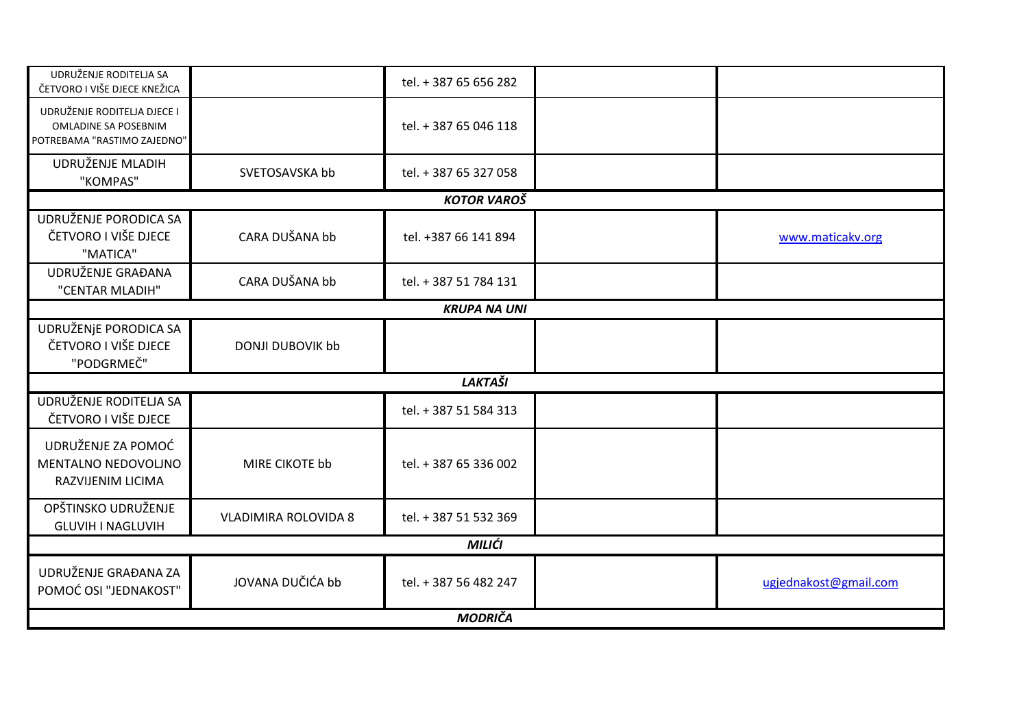| UDRUŽENJE RODITELJA SA<br>ČETVORO I VIŠE DJECE KNEŽICA                                    |                             | tel. + 387 65 656 282 |                       |
|-------------------------------------------------------------------------------------------|-----------------------------|-----------------------|-----------------------|
| UDRUŽENJE RODITELJA DJECE I<br><b>OMLADINE SA POSEBNIM</b><br>POTREBAMA "RASTIMO ZAJEDNO" |                             | tel. + 387 65 046 118 |                       |
| UDRUŽENJE MLADIH<br>"KOMPAS"                                                              | SVETOSAVSKA bb              | tel. + 387 65 327 058 |                       |
|                                                                                           |                             | <b>KOTOR VAROŠ</b>    |                       |
| UDRUŽENJE PORODICA SA<br>ČETVORO I VIŠE DJECE<br>"MATICA"                                 | CARA DUŠANA bb              | tel. +387 66 141 894  | www.maticakv.org      |
| UDRUŽENJE GRAĐANA<br>"CENTAR MLADIH"                                                      | CARA DUŠANA bb              | tel. + 387 51 784 131 |                       |
|                                                                                           |                             | <b>KRUPA NA UNI</b>   |                       |
| UDRUŽENJE PORODICA SA<br>ČETVORO I VIŠE DJECE<br>"PODGRMEČ"                               | <b>DONJI DUBOVIK bb</b>     |                       |                       |
|                                                                                           |                             | <b>LAKTAŠI</b>        |                       |
| UDRUŽENJE RODITELJA SA<br>ČETVORO I VIŠE DJECE                                            |                             | tel. + 387 51 584 313 |                       |
| UDRUŽENJE ZA POMOĆ<br>MENTALNO NEDOVOLJNO<br>RAZVIJENIM LICIMA                            | MIRE CIKOTE bb              | tel. + 387 65 336 002 |                       |
| OPŠTINSKO UDRUŽENJE<br><b>GLUVIH I NAGLUVIH</b>                                           | <b>VLADIMIRA ROLOVIDA 8</b> | tel. + 387 51 532 369 |                       |
|                                                                                           |                             | MILIĆI                |                       |
| UDRUŽENJE GRAĐANA ZA<br>POMOĆ OSI "JEDNAKOST"                                             | JOVANA DUČIĆA bb            | tel. + 387 56 482 247 | ugjednakost@gmail.com |
|                                                                                           |                             | <b>MODRIČA</b>        |                       |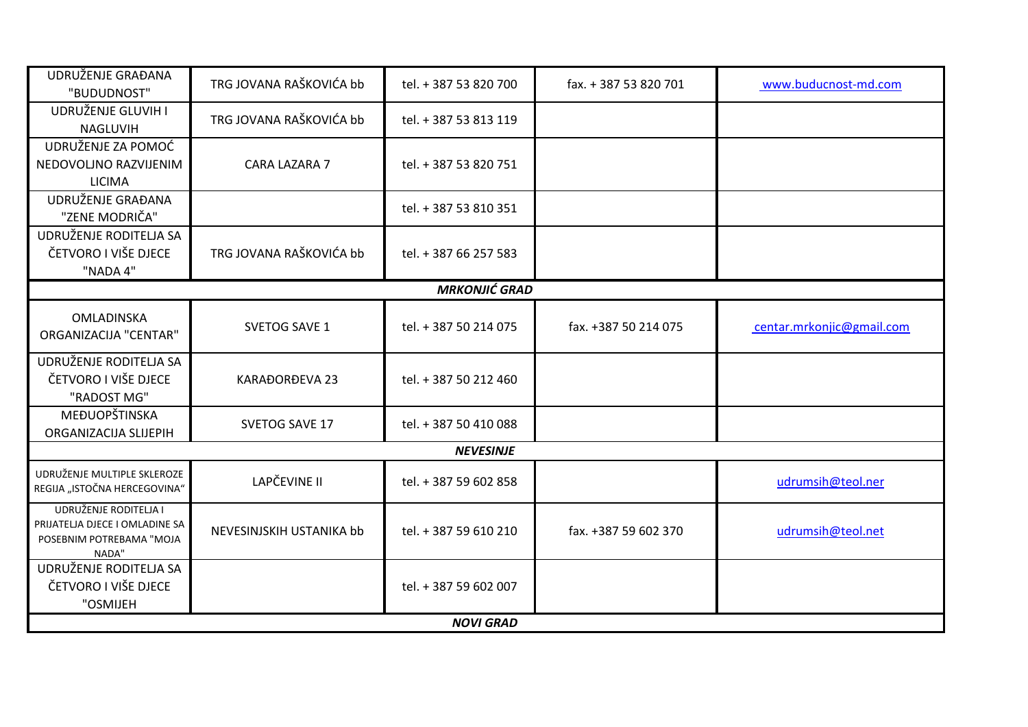| UDRUŽENJE GRAĐANA<br>"BUDUDNOST"                                                             | TRG JOVANA RAŠKOVIĆA bb  | tel. + 387 53 820 700 | fax. + 387 53 820 701 | www.buducnost-md.com      |
|----------------------------------------------------------------------------------------------|--------------------------|-----------------------|-----------------------|---------------------------|
| UDRUŽENJE GLUVIH I<br>NAGLUVIH                                                               | TRG JOVANA RAŠKOVIĆA bb  | tel. + 387 53 813 119 |                       |                           |
| UDRUŽENJE ZA POMOĆ<br>NEDOVOLJNO RAZVIJENIM<br><b>LICIMA</b>                                 | CARA LAZARA 7            | tel. + 387 53 820 751 |                       |                           |
| UDRUŽENJE GRAĐANA<br>"ZENE MODRIČA"                                                          |                          | tel. + 387 53 810 351 |                       |                           |
| UDRUŽENJE RODITELJA SA<br>ČETVORO I VIŠE DJECE<br>"NADA 4"                                   | TRG JOVANA RAŠKOVIĆA bb  | tel. + 387 66 257 583 |                       |                           |
|                                                                                              |                          | <b>MRKONJIĆ GRAD</b>  |                       |                           |
| OMLADINSKA<br><b>ORGANIZACIJA "CENTAR"</b>                                                   | <b>SVETOG SAVE 1</b>     | tel. + 387 50 214 075 | fax. +387 50 214 075  | centar.mrkonjic@gmail.com |
| UDRUŽENJE RODITELJA SA<br>ČETVORO I VIŠE DJECE<br>"RADOST MG"                                | <b>KARAĐORĐEVA 23</b>    | tel. + 387 50 212 460 |                       |                           |
| MEĐUOPŠTINSKA<br>ORGANIZACIJA SLIJEPIH                                                       | SVETOG SAVE 17           | tel. + 387 50 410 088 |                       |                           |
|                                                                                              |                          | <b>NEVESINJE</b>      |                       |                           |
| UDRUŽENJE MULTIPLE SKLEROZE<br>REGIJA "ISTOČNA HERCEGOVINA"                                  | LAPČEVINE II             | tel. + 387 59 602 858 |                       | udrumsih@teol.ner         |
| UDRUŽENJE RODITELJA I<br>PRIJATELJA DJECE I OMLADINE SA<br>POSEBNIM POTREBAMA "MOJA<br>NADA" | NEVESINJSKIH USTANIKA bb | tel. + 387 59 610 210 | fax. +387 59 602 370  | udrumsih@teol.net         |
| UDRUŽENJE RODITELJA SA<br>ČETVORO I VIŠE DJECE<br>"OSMIJEH                                   |                          | tel. + 387 59 602 007 |                       |                           |
|                                                                                              |                          | <b>NOVI GRAD</b>      |                       |                           |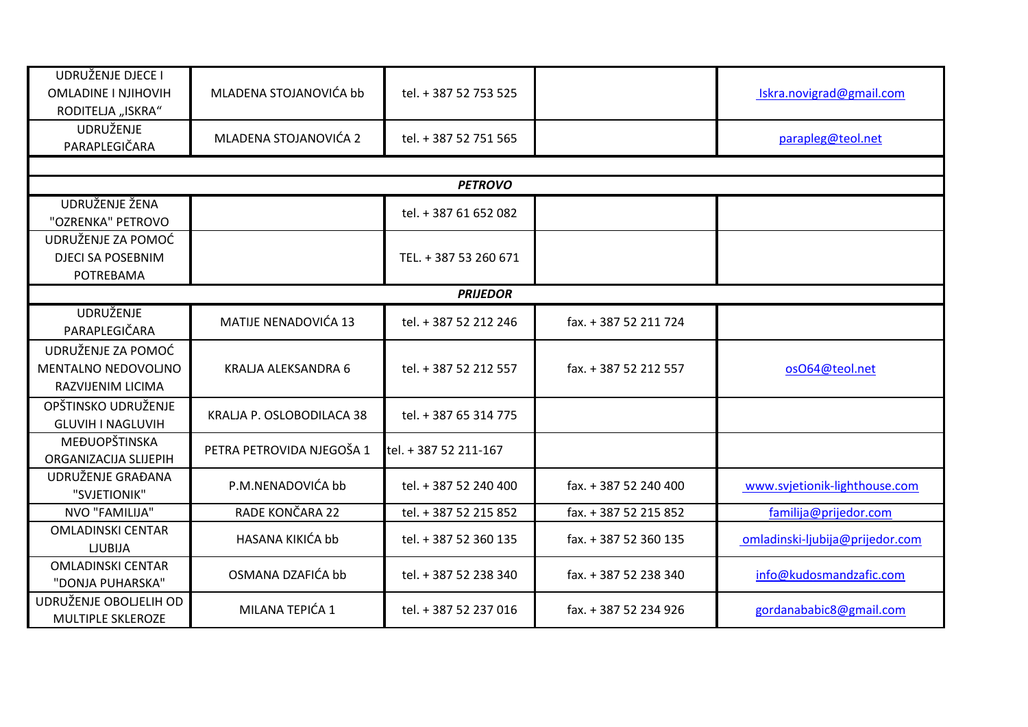| UDRUŽENJE DJECE I<br><b>OMLADINE I NJIHOVIH</b><br>RODITELJA "ISKRA" | MLADENA STOJANOVIĆA bb    | tel. + 387 52 753 525 |                       | Iskra.novigrad@gmail.com        |
|----------------------------------------------------------------------|---------------------------|-----------------------|-----------------------|---------------------------------|
| <b>UDRUŽENJE</b><br>PARAPLEGIČARA                                    | MLADENA STOJANOVIĆA 2     | tel. + 387 52 751 565 |                       | parapleg@teol.net               |
|                                                                      |                           |                       |                       |                                 |
|                                                                      |                           | <b>PETROVO</b>        |                       |                                 |
| UDRUŽENJE ŽENA<br>"OZRENKA" PETROVO                                  |                           | tel. + 387 61 652 082 |                       |                                 |
| UDRUŽENJE ZA POMOĆ<br><b>DJECI SA POSEBNIM</b><br>POTREBAMA          |                           | TEL. + 387 53 260 671 |                       |                                 |
|                                                                      |                           | <b>PRIJEDOR</b>       |                       |                                 |
| <b>UDRUŽENJE</b><br>PARAPLEGIČARA                                    | MATIJE NENADOVIĆA 13      | tel. + 387 52 212 246 | fax. + 387 52 211 724 |                                 |
| UDRUŽENJE ZA POMOĆ<br>MENTALNO NEDOVOLJNO<br>RAZVIJENIM LICIMA       | KRALJA ALEKSANDRA 6       | tel. + 387 52 212 557 | fax. + 387 52 212 557 | osO64@teol.net                  |
| OPŠTINSKO UDRUŽENJE<br><b>GLUVIH I NAGLUVIH</b>                      | KRALJA P. OSLOBODILACA 38 | tel. + 387 65 314 775 |                       |                                 |
| MEĐUOPŠTINSKA<br>ORGANIZACIJA SLIJEPIH                               | PETRA PETROVIDA NJEGOŠA 1 | tel. + 387 52 211-167 |                       |                                 |
| UDRUŽENJE GRAĐANA<br>"SVJETIONIK"                                    | P.M.NENADOVIĆA bb         | tel. + 387 52 240 400 | fax. + 387 52 240 400 | www.svjetionik-lighthouse.com   |
| NVO "FAMILIJA"                                                       | RADE KONČARA 22           | tel. + 387 52 215 852 | fax. + 387 52 215 852 | familija@prijedor.com           |
| <b>OMLADINSKI CENTAR</b><br><b>LJUBIJA</b>                           | HASANA KIKIĆA bb          | tel. + 387 52 360 135 | fax. + 387 52 360 135 | omladinski-ljubija@prijedor.com |
| <b>OMLADINSKI CENTAR</b><br>"DONJA PUHARSKA"                         | OSMANA DZAFIĆA bb         | tel. + 387 52 238 340 | fax. + 387 52 238 340 | info@kudosmandzafic.com         |
| UDRUŽENJE OBOLJELIH OD<br>MULTIPLE SKLEROZE                          | MILANA TEPIĆA 1           | tel. + 387 52 237 016 | fax. + 387 52 234 926 | gordanababic8@gmail.com         |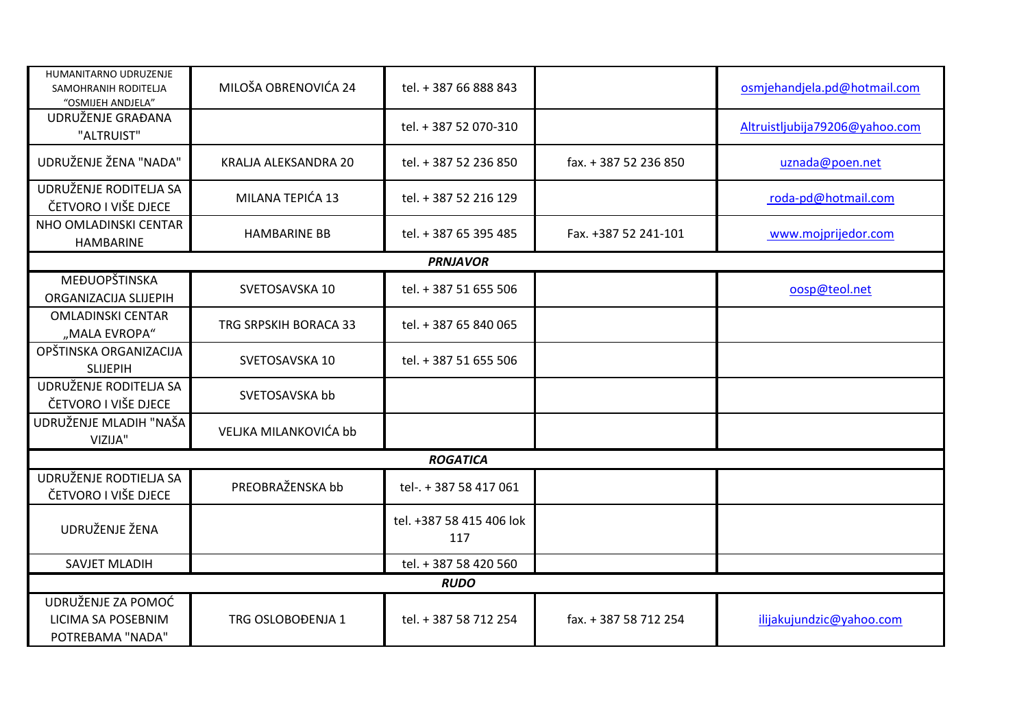| HUMANITARNO UDRUZENJE<br>SAMOHRANIH RODITELJA<br>"OSMIJEH ANDJELA" | MILOŠA OBRENOVIĆA 24  | tel. + 387 66 888 843           |                       | osmjehandjela.pd@hotmail.com   |
|--------------------------------------------------------------------|-----------------------|---------------------------------|-----------------------|--------------------------------|
| UDRUŽENJE GRAĐANA<br>"ALTRUIST"                                    |                       | tel. + 387 52 070-310           |                       | Altruistljubija79206@yahoo.com |
| UDRUŽENJE ŽENA "NADA"                                              | KRALJA ALEKSANDRA 20  | tel. + 387 52 236 850           | fax. + 387 52 236 850 | uznada@poen.net                |
| UDRUŽENJE RODITELJA SA<br>ČETVORO I VIŠE DJECE                     | MILANA TEPIĆA 13      | tel. + 387 52 216 129           |                       | roda-pd@hotmail.com            |
| NHO OMLADINSKI CENTAR<br><b>HAMBARINE</b>                          | <b>HAMBARINE BB</b>   | tel. + 387 65 395 485           | Fax. +387 52 241-101  | www.mojprijedor.com            |
|                                                                    |                       | <b>PRNJAVOR</b>                 |                       |                                |
| MEĐUOPŠTINSKA<br>ORGANIZACIJA SLIJEPIH                             | SVETOSAVSKA 10        | tel. + 387 51 655 506           |                       | oosp@teol.net                  |
| <b>OMLADINSKI CENTAR</b><br>"MALA EVROPA"                          | TRG SRPSKIH BORACA 33 | tel. + 387 65 840 065           |                       |                                |
| OPŠTINSKA ORGANIZACIJA<br><b>SLIJEPIH</b>                          | SVETOSAVSKA 10        | tel. + 387 51 655 506           |                       |                                |
| UDRUŽENJE RODITELJA SA<br>ČETVORO I VIŠE DJECE                     | SVETOSAVSKA bb        |                                 |                       |                                |
| UDRUŽENJE MLADIH "NAŠA<br>VIZIJA"                                  | VELJKA MILANKOVIĆA bb |                                 |                       |                                |
|                                                                    |                       | <b>ROGATICA</b>                 |                       |                                |
| UDRUŽENJE RODTIELJA SA<br>ČETVORO I VIŠE DJECE                     | PREOBRAŽENSKA bb      | tel-. + 387 58 417 061          |                       |                                |
| UDRUŽENJE ŽENA                                                     |                       | tel. +387 58 415 406 lok<br>117 |                       |                                |
| <b>SAVJET MLADIH</b>                                               |                       | tel. + 387 58 420 560           |                       |                                |
|                                                                    |                       | <b>RUDO</b>                     |                       |                                |
| UDRUŽENJE ZA POMOĆ<br>LICIMA SA POSEBNIM<br>POTREBAMA "NADA"       | TRG OSLOBOĐENJA 1     | tel. + 387 58 712 254           | fax. + 387 58 712 254 | ilijakujundzic@yahoo.com       |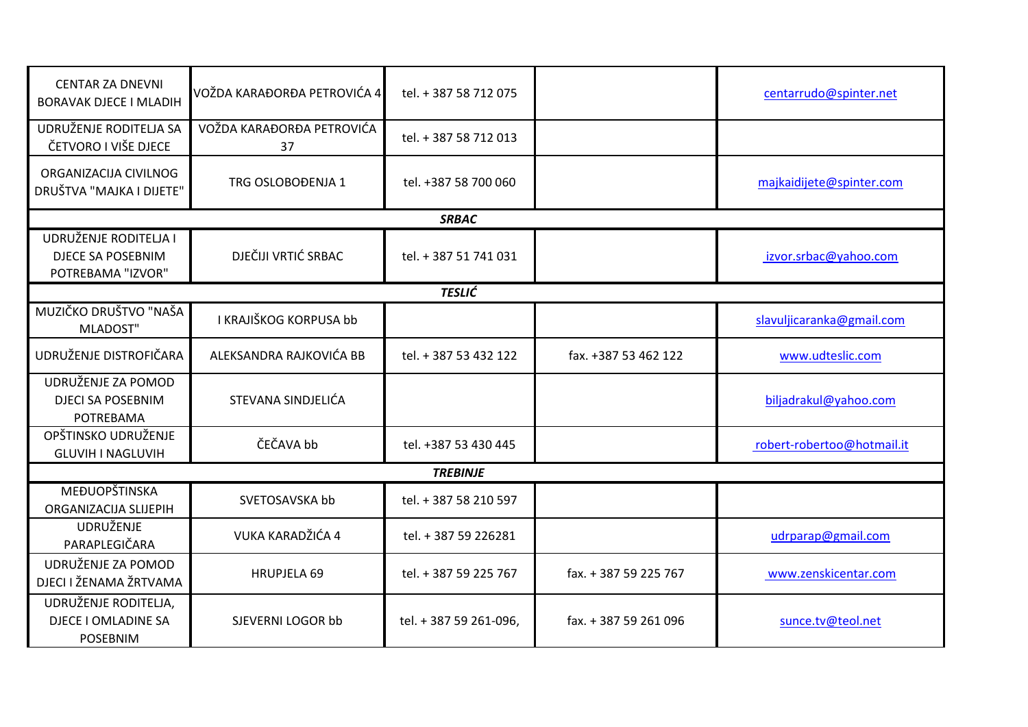| <b>CENTAR ZA DNEVNI</b><br><b>BORAVAK DJECE I MLADIH</b>               | VOŽDA KARAĐORĐA PETROVIĆA 4     | tel. + 387 58 712 075  |                       | centarrudo@spinter.net     |
|------------------------------------------------------------------------|---------------------------------|------------------------|-----------------------|----------------------------|
| UDRUŽENJE RODITELJA SA<br>ČETVORO I VIŠE DJECE                         | VOŽDA KARAĐORĐA PETROVIĆA<br>37 | tel. + 387 58 712 013  |                       |                            |
| ORGANIZACIJA CIVILNOG<br>DRUŠTVA "MAJKA I DIJETE"                      | TRG OSLOBOĐENJA 1               | tel. +387 58 700 060   |                       | majkaidijete@spinter.com   |
|                                                                        |                                 | <b>SRBAC</b>           |                       |                            |
| UDRUŽENJE RODITELJA I<br><b>DJECE SA POSEBNIM</b><br>POTREBAMA "IZVOR" | DJEČIJI VRTIĆ SRBAC             | tel. + 387 51 741 031  |                       | izvor.srbac@yahoo.com      |
|                                                                        |                                 | <b>TESLIĆ</b>          |                       |                            |
| MUZIČKO DRUŠTVO "NAŠA<br><b>MLADOST"</b>                               | I KRAJIŠKOG KORPUSA bb          |                        |                       | slavuljicaranka@gmail.com  |
| UDRUŽENJE DISTROFIČARA                                                 | ALEKSANDRA RAJKOVIĆA BB         | tel. + 387 53 432 122  | fax. +387 53 462 122  | www.udteslic.com           |
| UDRUŽENJE ZA POMOD<br><b>DJECI SA POSEBNIM</b><br>POTREBAMA            | STEVANA SINDJELIĆA              |                        |                       | biljadrakul@yahoo.com      |
| OPŠTINSKO UDRUŽENJE<br><b>GLUVIH I NAGLUVIH</b>                        | ČEČAVA bb                       | tel. +387 53 430 445   |                       | robert-robertoo@hotmail.it |
|                                                                        |                                 | <b>TREBINJE</b>        |                       |                            |
| MEĐUOPŠTINSKA<br>ORGANIZACIJA SLIJEPIH                                 | SVETOSAVSKA bb                  | tel. + 387 58 210 597  |                       |                            |
| <b>UDRUŽENJE</b><br>PARAPLEGIČARA                                      | VUKA KARADŽIĆA 4                | tel. + 387 59 226281   |                       | udrparap@gmail.com         |
| UDRUŽENJE ZA POMOD<br>DJECI I ŽENAMA ŽRTVAMA                           | <b>HRUPJELA 69</b>              | tel. + 387 59 225 767  | fax. + 387 59 225 767 | www.zenskicentar.com       |
| UDRUŽENJE RODITELJA,<br>DJECE I OMLADINE SA<br><b>POSEBNIM</b>         | SJEVERNI LOGOR bb               | tel. + 387 59 261-096, | fax. + 387 59 261 096 | sunce.tv@teol.net          |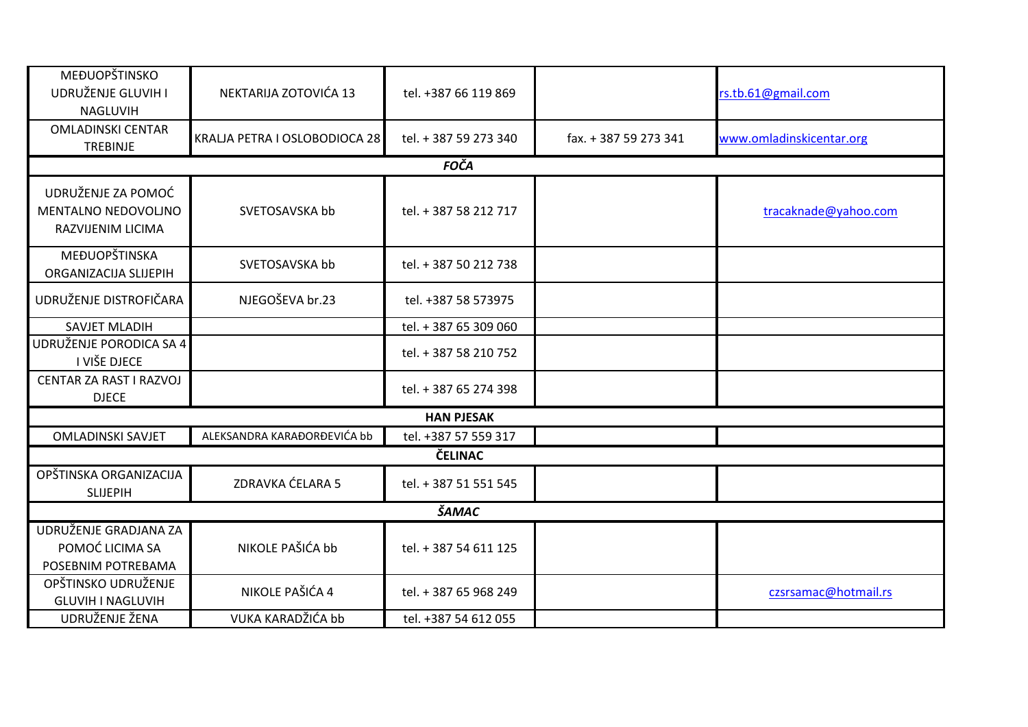| MEĐUOPŠTINSKO<br>UDRUŽENJE GLUVIH I<br>NAGLUVIH                | NEKTARIJA ZOTOVIĆA 13         | tel. +387 66 119 869  |                       | rs.tb.61@gmail.com       |
|----------------------------------------------------------------|-------------------------------|-----------------------|-----------------------|--------------------------|
| <b>OMLADINSKI CENTAR</b><br>TREBINJE                           | KRALJA PETRA I OSLOBODIOCA 28 | tel. + 387 59 273 340 | fax. + 387 59 273 341 | www.omladinskicentar.org |
|                                                                |                               | <b>FOČA</b>           |                       |                          |
| UDRUŽENJE ZA POMOĆ<br>MENTALNO NEDOVOLJNO<br>RAZVIJENIM LICIMA | SVETOSAVSKA bb                | tel. + 387 58 212 717 |                       | tracaknade@yahoo.com     |
| MEĐUOPŠTINSKA<br>ORGANIZACIJA SLIJEPIH                         | SVETOSAVSKA bb                | tel. + 387 50 212 738 |                       |                          |
| UDRUŽENJE DISTROFIČARA                                         | NJEGOŠEVA br.23               | tel. +387 58 573975   |                       |                          |
| <b>SAVJET MLADIH</b>                                           |                               | tel. + 387 65 309 060 |                       |                          |
| UDRUŽENJE PORODICA SA 4<br>I VIŠE DJECE                        |                               | tel. + 387 58 210 752 |                       |                          |
| CENTAR ZA RAST I RAZVOJ<br><b>DJECE</b>                        |                               | tel. + 387 65 274 398 |                       |                          |
|                                                                |                               | <b>HAN PJESAK</b>     |                       |                          |
| <b>OMLADINSKI SAVJET</b>                                       | ALEKSANDRA KARAĐORĐEVIĆA bb   | tel. +387 57 559 317  |                       |                          |
|                                                                |                               | <b>ČELINAC</b>        |                       |                          |
| OPŠTINSKA ORGANIZACIJA<br><b>SLIJEPIH</b>                      | ZDRAVKA ĆELARA 5              | tel. + 387 51 551 545 |                       |                          |
|                                                                |                               | <b>ŠAMAC</b>          |                       |                          |
| UDRUŽENJE GRADJANA ZA<br>POMOĆ LICIMA SA<br>POSEBNIM POTREBAMA | NIKOLE PAŠIĆA bb              | tel. + 387 54 611 125 |                       |                          |
| OPŠTINSKO UDRUŽENJE<br><b>GLUVIH I NAGLUVIH</b>                | NIKOLE PAŠIĆA 4               | tel. + 387 65 968 249 |                       | czsrsamac@hotmail.rs     |
| UDRUŽENJE ŽENA                                                 | VUKA KARADŽIĆA bb             | tel. +387 54 612 055  |                       |                          |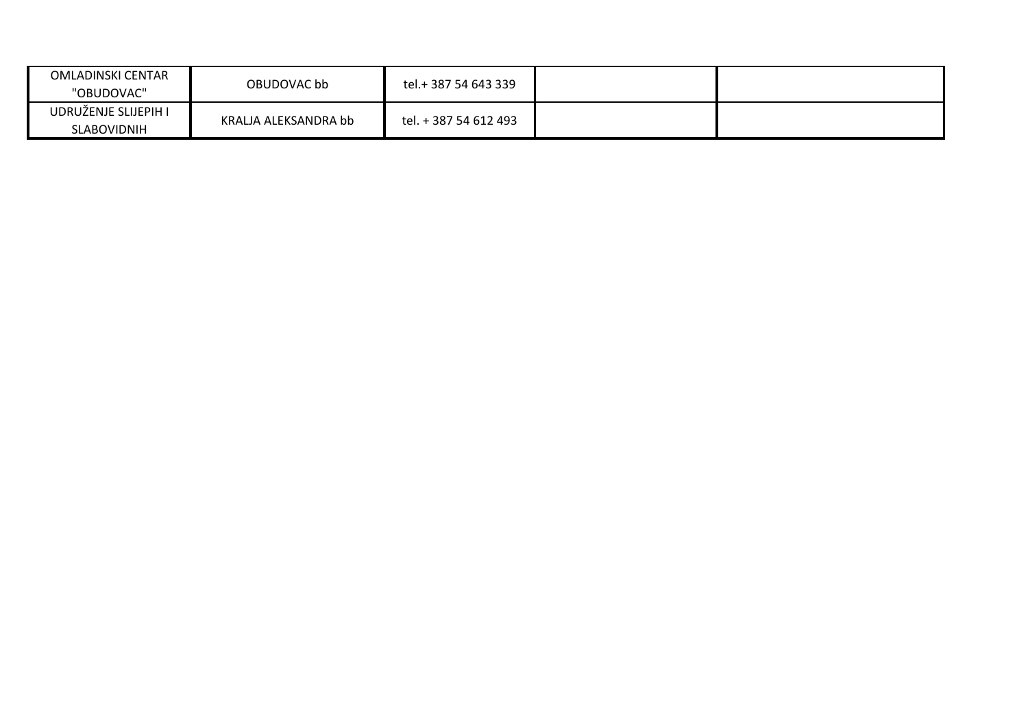| <b>OMLADINSKI CENTAR</b><br>"OBUDOVAC" | OBUDOVAC bb          | tel.+ 387 54 643 339  |  |
|----------------------------------------|----------------------|-----------------------|--|
| UDRUŽENJE SLIJEPIH I<br>SLABOVIDNIH    | KRALJA ALEKSANDRA bb | tel. + 387 54 612 493 |  |